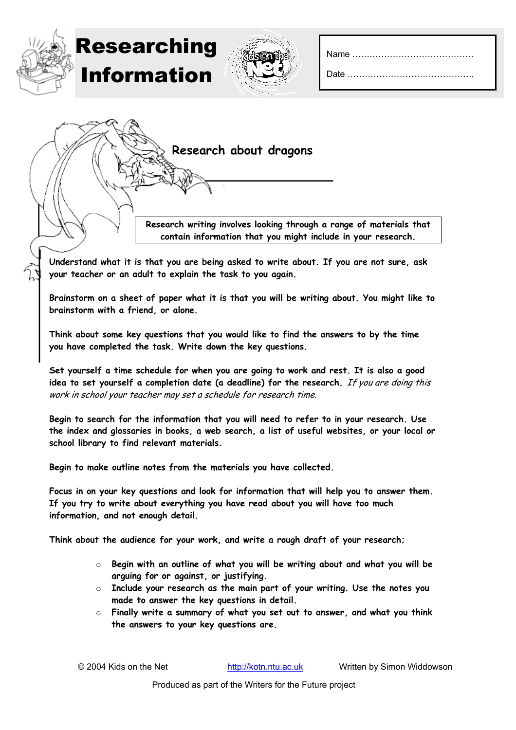| Date |  |  |  |  |  |  |  |  |  |  |  |  |  |  |  |
|------|--|--|--|--|--|--|--|--|--|--|--|--|--|--|--|





**Understand what it is that you are being asked to write about. If you are not sure, ask your teacher or an adult to explain the task to you again.**

**Brainstorm on a sheet of paper what it is that you will be writing about. You might like to brainstorm with a friend, or alone.** 

**Think about some key questions that you would like to find the answers to by the time you have completed the task. Write down the key questions.** 

**Set yourself a time schedule for when you are going to work and rest. It is also a good idea to set yourself a completion date (a deadline) for the research.** If you are doing this work in school your teacher may set a schedule for research time.

**Begin to search for the information that you will need to refer to in your research. Use the index and glossaries in books, a web search, a list of useful websites, or your local or school library to find relevant materials.** 

**Begin to make outline notes from the materials you have collected.** 

**Focus in on your key questions and look for information that will help you to answer them. If you try to write about everything you have read about you will have too much information, and not enough detail.** 

**Think about the audience for your work, and write a rough draft of your research;**

- o **Begin with an outline of what you will be writing about and what you will be arguing for or against, or justifying.**
- o **Include your research as the main part of your writing. Use the notes you made to answer the key questions in detail.**
- o **Finally write a summary of what you set out to answer, and what you think the answers to your key questions are.**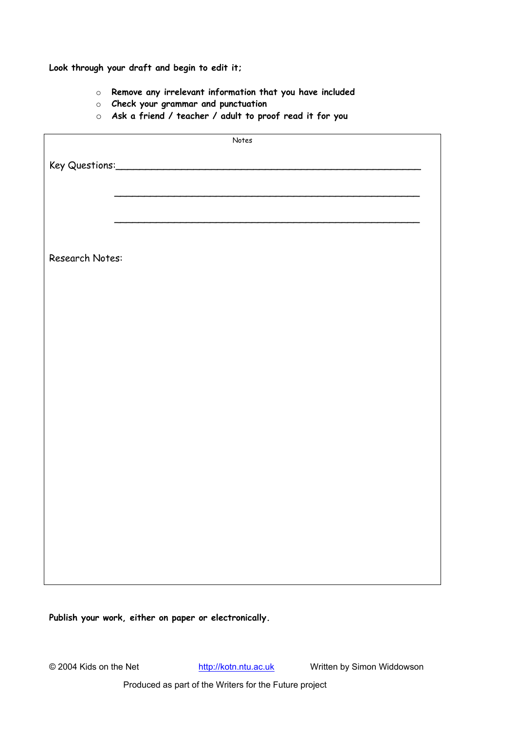**Look through your draft and begin to edit it;**

- o **Remove any irrelevant information that you have included**
- o **Check your grammar and punctuation**
- o **Ask a friend / teacher / adult to proof read it for you**

| Notes           |  |  |  |  |  |  |  |
|-----------------|--|--|--|--|--|--|--|
|                 |  |  |  |  |  |  |  |
|                 |  |  |  |  |  |  |  |
|                 |  |  |  |  |  |  |  |
|                 |  |  |  |  |  |  |  |
|                 |  |  |  |  |  |  |  |
|                 |  |  |  |  |  |  |  |
|                 |  |  |  |  |  |  |  |
|                 |  |  |  |  |  |  |  |
| Research Notes: |  |  |  |  |  |  |  |
|                 |  |  |  |  |  |  |  |
|                 |  |  |  |  |  |  |  |
|                 |  |  |  |  |  |  |  |
|                 |  |  |  |  |  |  |  |
|                 |  |  |  |  |  |  |  |
|                 |  |  |  |  |  |  |  |
|                 |  |  |  |  |  |  |  |
|                 |  |  |  |  |  |  |  |
|                 |  |  |  |  |  |  |  |
|                 |  |  |  |  |  |  |  |
|                 |  |  |  |  |  |  |  |
|                 |  |  |  |  |  |  |  |
|                 |  |  |  |  |  |  |  |
|                 |  |  |  |  |  |  |  |
|                 |  |  |  |  |  |  |  |
|                 |  |  |  |  |  |  |  |
|                 |  |  |  |  |  |  |  |
|                 |  |  |  |  |  |  |  |
|                 |  |  |  |  |  |  |  |
|                 |  |  |  |  |  |  |  |
|                 |  |  |  |  |  |  |  |
|                 |  |  |  |  |  |  |  |
|                 |  |  |  |  |  |  |  |
|                 |  |  |  |  |  |  |  |
|                 |  |  |  |  |  |  |  |
|                 |  |  |  |  |  |  |  |
|                 |  |  |  |  |  |  |  |

**Publish your work, either on paper or electronically.**

© 2004 Kids on the Net http://kotn.ntu.ac.uk Written by Simon Widdowson

Produced as part of the Writers for the Future project